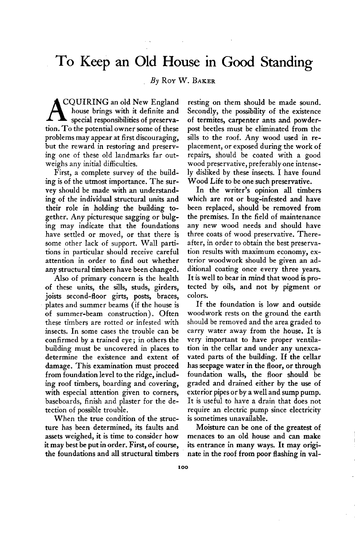## **To Keep an Old House in Good Standing**

**By ROY W. BAKER** 

**CQUIRING an old New England A house brings with it definite and special responsibilities of preservation. To the potential owner some of these problems may appear at first discouraging, but the reward in restoring and preserving one of these old landmarks far outweighs any initial difficulties.** 

**First, a complete survey of the building is of the utmost importance. The survey should be made with an understanding of the individual structural units and their role in holding the building together. Any picturesque sagging or bulging may indicate that the foundations have settled or moved, or that there is some other lack of support. Wall partitions in particular should receive careful attention in order to find out whether any structural timbers have been changed.** 

**Also of primary concern is the health of these units, the sills, studs, girders, joists second-floor girts, posts, braces, plates and summer beams (if the house is of summer-beam construction). Often these timbers are rotted or infested with insects. In some cases the trouble can be confirmed by a trained eye; in others the building must be uncovered in places to determine the existence and extent of damage. This examination must proceed from foundation level to the ridge, including roof timbers, boarding and covering, with especial attention given to corners, baseboards, finish and plaster for the detection of possible trouble.** 

**When the true condition of the structure has been determined, its faults and assets weighed, it is time to consider how it may best be put in order. First, of course, the foundations and all structural timbers**  **resting on them should be made sound. Secondly, the possibility of the existence of termites, carpenter ants and powderpost beetles must be eliminated from the sills to the roof. Any wood used in replacement, or exposed during the work of repairs, should be coated with a good wood preservative, preferably one intensely disliked by these insects. I have found Wood Life to be one such preservative.** 

**In the writer's opinion all timbers which are rot or bug-infested and have been replaced, should be removed from the premises. In the field of maintenance any new wood needs and should have three coats of wood preservative. Thereafter, in order to obtain the best preservation results with maximum economy, exterior woodwork should be given an additional coating once every three years. It is well to bear in mind that wood is protected by oils, and not by pigment or colors.** 

**If the foundation is low and outside woodwork rests on the ground the earth should be removed and the area graded to carry water away from the house. It is very important to have proper ventilation in the cellar and under any unexcavated parts of the building. If the cellar has seepage water in the floor, or through foundation walls, the floor should be graded and drained either by the use of exterior pipes or by a well and sump pump. It is useful to have a drain that does not require an electric pump since electricity is sometimes unavailable.** 

**Moisture can be one of the greatest of menaces to an old house and can make its entrance in many ways. It may originate in the roof from poor flashing in val-**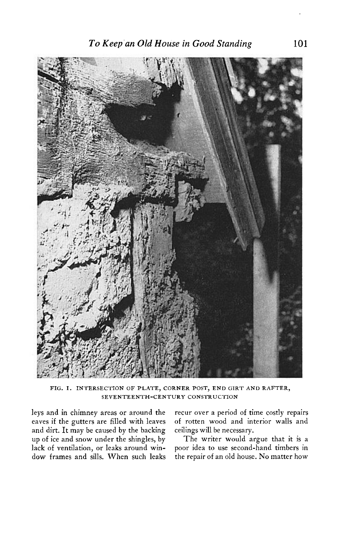

**FIG. I. INTERSECTION OF PLATE, CORNER POST, END GIRT AND RAFTER, SEVENTEENTH-CENTURY CONSTRUCTION** 

**and dirt. It may be caused by the backing ceilings will be necessary.**  up of ice and snow under the shingles, by lack of ventilation, or leaks around win**dow frames and sills. When such leaks the repair of an old house. No matter how** 

leys and in chimney areas or around the recur over a period of time costly repairs eaves if the gutters are filled with leaves of rotten wood and interior walls and of rotten wood and interior walls and ceilings will be necessary.

poor idea to use second-hand timbers in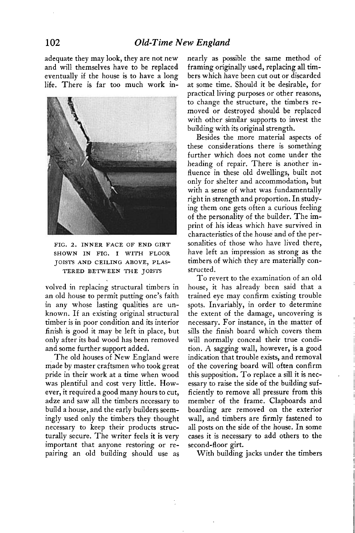**adequate they may look, they are not new and will themselves have to be replaced eventually if the house is to have a long life. There is far too much work in-**



**FIG. 2. INNER FACE OF END GIRT SHOWN IN FIG. I WITH FLOOR JOISTS AND CEILING ABOVE, PLAS-TERED BETWEEN THE JOISTS** 

**volved in replacing structural timbers in an old house to permit putting one's faith in any whose lasting qualities are unknown. If an existing original structural timber is in poor condition and its interior finish is good it may be left in place, but only after its bad wood has been removed and some further support added.** 

**The old houses of New England were made by master craftsmen who took great pride in their work at a time when wood was plentiful and cost very little. However, it required a good many hours to cut, adze and saw all the timbers necessary to build a house, and the early builders seemingly used only the timbers they thought necessary to keep their products structurally secure. The writer feels it is very important that anyone restoring or repairing an old building should use as**  **nearly as possible the same method of framing originally used, replacing all timbers which have been cut out or discarded at some time. Should it be desirable, for practical living purposes or other reasons, to change the structure, the timbers removed or destroyed should be replaced with other similar supports to invest the building with its original strength.** 

**Besides the more material aspects of these considerations there is something further which does not come under the heading of repair. There is another influence in these old dwellings, built not only for shelter and accommodation, but with a sense of what was fundamentally right in strength and proportion. In studying them one gets often a curious feeling of the personality of the builder. The imprint of his ideas which have survived in characteristics of the house and of the personalities of those who have lived there, have left an impression as strong as the timbers of which they are materially constructed.** 

**To revert to the examination of an old house, it has already been said that a trained eye may confirm existing trouble spots. Invariably, in order to determine the extent of the damage, uncovering is necessary. For instance, in the matter of sills the finish board which covers them will normally conceal their true condition. A sagging wall, however, is a good indication that trouble exists, and removal of the covering board will often confirm this supposition. To replace a sill it is necessary to raise the side of the building sufficiently to remove all pressure from this member of the frame. Clapboards and boarding are removed on the exterior wall, and timbers are firmly fastened to all posts on the side of the house. In some cases it is necessary to add others to the second-floor girt.** 

**With building jacks under the timbers**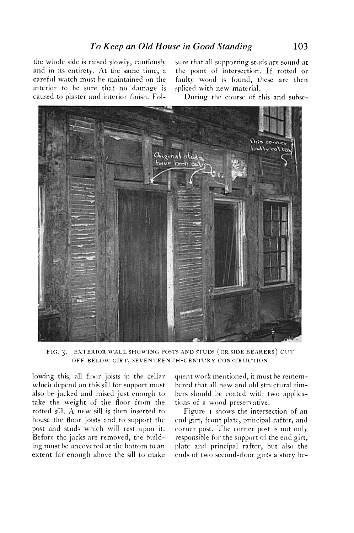**the whole side is raised slowly, cautiously sure that all supporting studs are sound at and in its entirety. At the same time, a the point of intersection. If rotted or careful watch must he maintained on the faulty wood is found, these are then interior to be sure that no damage is spliced with new material. caused to plaster and interior finish. Fol- During the course of this and suhse-**



**FIG. 3. EXTERIOR WALL SHOWING POSTS AND STUDS (OR SIDE BEARERS) CIrI'' OFF BELOW GIRl, ' SEVENTEEN ' I'H-CENTURY ' CONSTRUCI'ION '**

**lowing this, all floor joists in the cellar which depend on this sill for support must also be jacked and raised just enough to take the weight of the floor from the**  rotted sill. A new sill is then inserted to **house the floor joists and to support the post and studs which will rest upon it. Before the jacks are removed, the huild**ing must be uncovered at the bottom to an **extent far enough ahove the sill to make** 

**qucnt work mentioned, it must be remcmhered that all new and old structural timhers should he coated with two npplicntions of a wood preservative.** 

Figure **I** shows the intersection of an **end girt, front plate, principal rafter, and corner post. 'The corner post is not only responsible for the support of the end girt, plate and principal rafter, hut also the ends of two second-floor girts a story be-**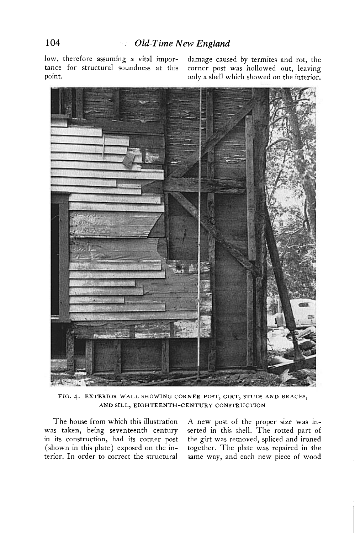**low, therefore assuming a vital impor- damage caused by termites and rot, the** 

**tance for structural soundness at this corner post was hollowed out, leaving point. only a shell which showed on the interior.** 



**FIG. 4. EXTERIOR WALL SHOWING CORNER POST, GIRT, STUDS AND BRACES, AND SILL, EIGHTEENTH-CENTURY CONSTRUCTION** 

**The house from which this illustration A new post of the proper size was inwas taken, being seventeenth century serted in this shell. The rotted part of in its construction, had its corner post the girt was removed, spliced and ironed**  together. The plate was repaired in the **terior. In order to correct the structural same way, and each new piece of wood**